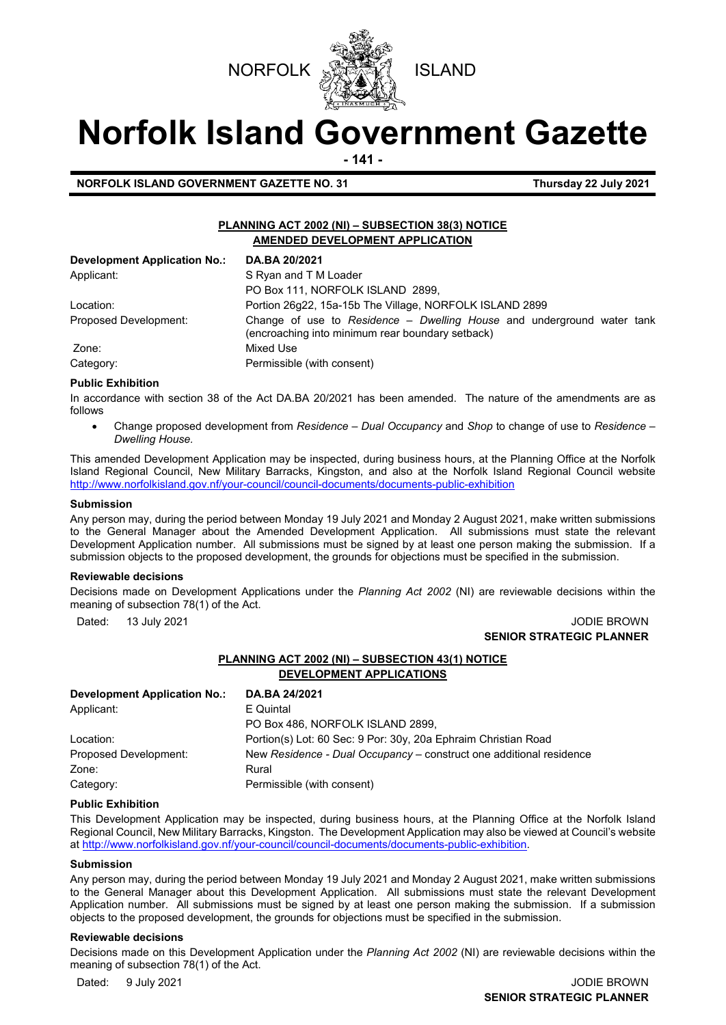



# **Norfolk Island Government Gazette**

**- 141 -**

**NORFOLK ISLAND GOVERNMENT GAZETTE NO. 31 Thursday 22 July 2021**

# **PLANNING ACT 2002 (NI) – SUBSECTION 38(3) NOTICE AMENDED DEVELOPMENT APPLICATION**

| <b>Development Application No.:</b> | DA.BA 20/2021                                                                                                              |
|-------------------------------------|----------------------------------------------------------------------------------------------------------------------------|
| Applicant:                          | S Ryan and T M Loader                                                                                                      |
|                                     | PO Box 111, NORFOLK ISLAND 2899,                                                                                           |
| Location:                           | Portion 26q22, 15a-15b The Village, NORFOLK ISLAND 2899                                                                    |
| Proposed Development:               | Change of use to Residence - Dwelling House and underground water tank<br>(encroaching into minimum rear boundary setback) |
| Zone:                               | Mixed Use                                                                                                                  |
| Category:                           | Permissible (with consent)                                                                                                 |

#### **Public Exhibition**

In accordance with section 38 of the Act DA.BA 20/2021 has been amended. The nature of the amendments are as follows

• Change proposed development from *Residence – Dual Occupancy* and *Shop* to change of use to *Residence – Dwelling House.* 

This amended Development Application may be inspected, during business hours, at the Planning Office at the Norfolk Island Regional Council, New Military Barracks, Kingston, and also at the Norfolk Island Regional Council website <http://www.norfolkisland.gov.nf/your-council/council-documents/documents-public-exhibition>

#### **Submission**

Any person may, during the period between Monday 19 July 2021 and Monday 2 August 2021, make written submissions to the General Manager about the Amended Development Application. All submissions must state the relevant Development Application number. All submissions must be signed by at least one person making the submission. If a submission objects to the proposed development, the grounds for objections must be specified in the submission.

## **Reviewable decisions**

Decisions made on Development Applications under the *Planning Act 2002* (NI) are reviewable decisions within the meaning of subsection 78(1) of the Act.

#### Dated: 13 July 2021 JODIE BROWN **SENIOR STRATEGIC PLANNER**

# **PLANNING ACT 2002 (NI) – SUBSECTION 43(1) NOTICE DEVELOPMENT APPLICATIONS**

| Development Application No.: | DA.BA 24/2021                                                       |
|------------------------------|---------------------------------------------------------------------|
| Applicant:                   | E Quintal                                                           |
|                              | PO Box 486, NORFOLK ISLAND 2899,                                    |
| Location:                    | Portion(s) Lot: 60 Sec: 9 Por: 30y, 20a Ephraim Christian Road      |
| Proposed Development:        | New Residence - Dual Occupancy – construct one additional residence |
| Zone:                        | Rural                                                               |
| Category:                    | Permissible (with consent)                                          |

## **Public Exhibition**

This Development Application may be inspected, during business hours, at the Planning Office at the Norfolk Island Regional Council, New Military Barracks, Kingston. The Development Application may also be viewed at Council's website a[t http://www.norfolkisland.gov.nf/your-council/council-documents/documents-public-exhibition.](http://www.norfolkisland.gov.nf/your-council/council-documents/documents-public-exhibition)

## **Submission**

Any person may, during the period between Monday 19 July 2021 and Monday 2 August 2021, make written submissions to the General Manager about this Development Application. All submissions must state the relevant Development Application number. All submissions must be signed by at least one person making the submission. If a submission objects to the proposed development, the grounds for objections must be specified in the submission.

## **Reviewable decisions**

Decisions made on this Development Application under the *Planning Act 2002* (NI) are reviewable decisions within the meaning of subsection 78(1) of the Act.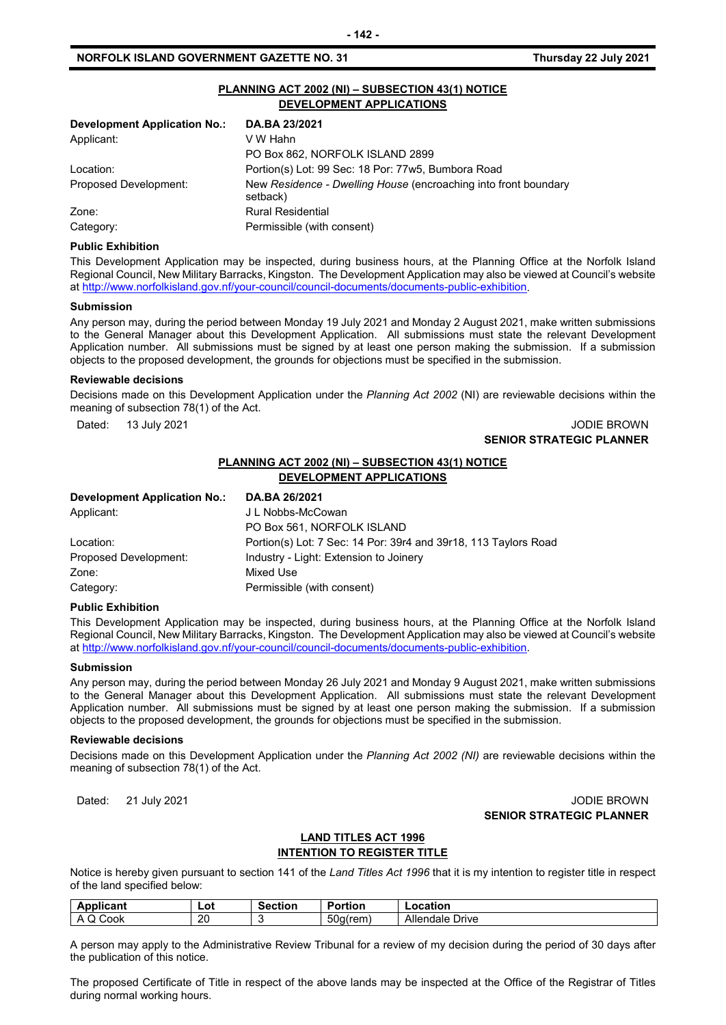## **NORFOLK ISLAND GOVERNMENT GAZETTE NO. 31 Thursday 22 July 2021**

| PLANNING ACT 2002 (NI) - SUBSECTION 43(1) NOTICE<br>DEVELOPMENT APPLICATIONS |                                                                             |  |  |  |
|------------------------------------------------------------------------------|-----------------------------------------------------------------------------|--|--|--|
| Development Application No.:                                                 | DA.BA 23/2021                                                               |  |  |  |
| Applicant:                                                                   | V W Hahn                                                                    |  |  |  |
|                                                                              | PO Box 862, NORFOLK ISLAND 2899                                             |  |  |  |
| Location:                                                                    | Portion(s) Lot: 99 Sec: 18 Por: 77w5, Bumbora Road                          |  |  |  |
| Proposed Development:                                                        | New Residence - Dwelling House (encroaching into front boundary<br>setback) |  |  |  |
| Zone:                                                                        | <b>Rural Residential</b>                                                    |  |  |  |
| Category:                                                                    | Permissible (with consent)                                                  |  |  |  |

### **Public Exhibition**

This Development Application may be inspected, during business hours, at the Planning Office at the Norfolk Island Regional Council, New Military Barracks, Kingston. The Development Application may also be viewed at Council's website a[t http://www.norfolkisland.gov.nf/your-council/council-documents/documents-public-exhibition.](http://www.norfolkisland.gov.nf/your-council/council-documents/documents-public-exhibition)

#### **Submission**

Any person may, during the period between Monday 19 July 2021 and Monday 2 August 2021, make written submissions to the General Manager about this Development Application. All submissions must state the relevant Development Application number. All submissions must be signed by at least one person making the submission. If a submission objects to the proposed development, the grounds for objections must be specified in the submission.

#### **Reviewable decisions**

Decisions made on this Development Application under the *Planning Act 2002* (NI) are reviewable decisions within the meaning of subsection 78(1) of the Act.

## Dated: 13 July 2021 JODIE BROWN **SENIOR STRATEGIC PLANNER**

# **PLANNING ACT 2002 (NI) – SUBSECTION 43(1) NOTICE DEVELOPMENT APPLICATIONS**

| <b>Development Application No.:</b> | DA.BA 26/2021                                                   |
|-------------------------------------|-----------------------------------------------------------------|
| Applicant:                          | J L Nobbs-McCowan                                               |
|                                     | PO Box 561, NORFOLK ISLAND                                      |
| Location:                           | Portion(s) Lot: 7 Sec: 14 Por: 39r4 and 39r18, 113 Taylors Road |
| Proposed Development:               | Industry - Light: Extension to Joinery                          |
| Zone:                               | Mixed Use                                                       |
| Category:                           | Permissible (with consent)                                      |

#### **Public Exhibition**

This Development Application may be inspected, during business hours, at the Planning Office at the Norfolk Island Regional Council, New Military Barracks, Kingston. The Development Application may also be viewed at Council's website a[t http://www.norfolkisland.gov.nf/your-council/council-documents/documents-public-exhibition.](http://www.norfolkisland.gov.nf/your-council/council-documents/documents-public-exhibition)

#### **Submission**

Any person may, during the period between Monday 26 July 2021 and Monday 9 August 2021, make written submissions to the General Manager about this Development Application. All submissions must state the relevant Development Application number. All submissions must be signed by at least one person making the submission. If a submission objects to the proposed development, the grounds for objections must be specified in the submission.

#### **Reviewable decisions**

Decisions made on this Development Application under the *Planning Act 2002 (NI)* are reviewable decisions within the meaning of subsection 78(1) of the Act.

## Dated: 21 July 2021 JODIE BROWN **SENIOR STRATEGIC PLANNER**

# **LAND TITLES ACT 1996**

## **INTENTION TO REGISTER TITLE**

Notice is hereby given pursuant to section 141 of the *Land Titles Act 1996* that it is my intention to register title in respect of the land specified below:

| <b>Annisons</b><br>an          | Lot      | Section | <br>Portion                  | ∟ocation           |
|--------------------------------|----------|---------|------------------------------|--------------------|
| Cook<br>$\mathbf{v}$<br>$\sim$ | ററ<br>ZV |         | $\sim$<br>′rem<br>bud<br>. . | Allendale<br>Drive |

A person may apply to the Administrative Review Tribunal for a review of my decision during the period of 30 days after the publication of this notice.

The proposed Certificate of Title in respect of the above lands may be inspected at the Office of the Registrar of Titles during normal working hours.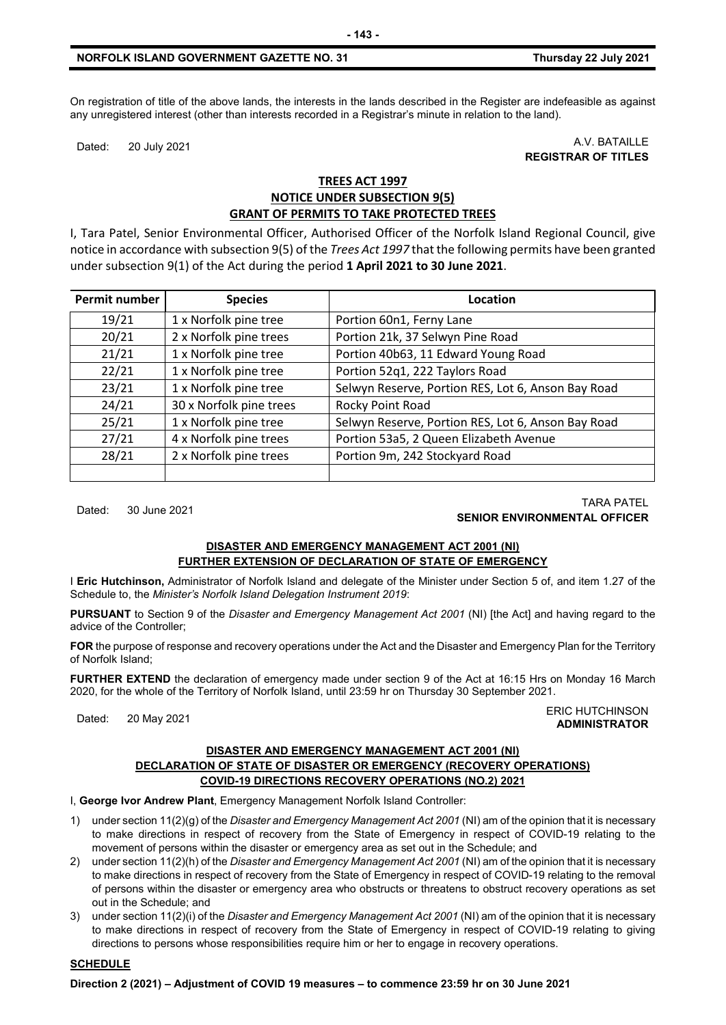# **NORFOLK ISLAND GOVERNMENT GAZETTE NO. 31 Thursday 22 July 2021**

On registration of title of the above lands, the interests in the lands described in the Register are indefeasible as against any unregistered interest (other than interests recorded in a Registrar's minute in relation to the land).

Dated: 20 July 2021 A.V. BATAILLE **REGISTRAR OF TITLES**

# **TREES ACT 1997 NOTICE UNDER SUBSECTION 9(5) GRANT OF PERMITS TO TAKE PROTECTED TREES**

I, Tara Patel, Senior Environmental Officer, Authorised Officer of the Norfolk Island Regional Council, give notice in accordance with subsection 9(5) of the *Trees Act 1997* that the following permits have been granted under subsection 9(1) of the Act during the period **1 April 2021 to 30 June 2021**.

| Permit number | <b>Species</b>          | Location                                           |
|---------------|-------------------------|----------------------------------------------------|
| 19/21         | 1 x Norfolk pine tree   | Portion 60n1, Ferny Lane                           |
| 20/21         | 2 x Norfolk pine trees  | Portion 21k, 37 Selwyn Pine Road                   |
| 21/21         | 1 x Norfolk pine tree   | Portion 40b63, 11 Edward Young Road                |
| 22/21         | 1 x Norfolk pine tree   | Portion 52q1, 222 Taylors Road                     |
| 23/21         | 1 x Norfolk pine tree   | Selwyn Reserve, Portion RES, Lot 6, Anson Bay Road |
| 24/21         | 30 x Norfolk pine trees | Rocky Point Road                                   |
| 25/21         | 1 x Norfolk pine tree   | Selwyn Reserve, Portion RES, Lot 6, Anson Bay Road |
| 27/21         | 4 x Norfolk pine trees  | Portion 53a5, 2 Queen Elizabeth Avenue             |
| 28/21         | 2 x Norfolk pine trees  | Portion 9m, 242 Stockyard Road                     |
|               |                         |                                                    |

## Dated: 30 June 2021 TARA PATEL **SENIOR ENVIRONMENTAL OFFICER**

# **DISASTER AND EMERGENCY MANAGEMENT ACT 2001 (NI) FURTHER EXTENSION OF DECLARATION OF STATE OF EMERGENCY**

I **Eric Hutchinson,** Administrator of Norfolk Island and delegate of the Minister under Section 5 of, and item 1.27 of the Schedule to, the *Minister's Norfolk Island Delegation Instrument 2019*:

**PURSUANT** to Section 9 of the *Disaster and Emergency Management Act 2001* (NI) [the Act] and having regard to the advice of the Controller;

**FOR** the purpose of response and recovery operations under the Act and the Disaster and Emergency Plan for the Territory of Norfolk Island;

**FURTHER EXTEND** the declaration of emergency made under section 9 of the Act at 16:15 Hrs on Monday 16 March 2020, for the whole of the Territory of Norfolk Island, until 23:59 hr on Thursday 30 September 2021.

#### Dated: 20 May 2021 ERIC HUTCHINSON **ADMINISTRATOR**

# **DISASTER AND EMERGENCY MANAGEMENT ACT 2001 (NI) DECLARATION OF STATE OF DISASTER OR EMERGENCY (RECOVERY OPERATIONS) COVID-19 DIRECTIONS RECOVERY OPERATIONS (NO.2) 2021**

I, **George Ivor Andrew Plant**, Emergency Management Norfolk Island Controller:

- 1) under section 11(2)(g) of the *Disaster and Emergency Management Act 2001* (NI) am of the opinion that it is necessary to make directions in respect of recovery from the State of Emergency in respect of COVID-19 relating to the movement of persons within the disaster or emergency area as set out in the Schedule; and
- 2) under section 11(2)(h) of the *Disaster and Emergency Management Act 2001* (NI) am of the opinion that it is necessary to make directions in respect of recovery from the State of Emergency in respect of COVID-19 relating to the removal of persons within the disaster or emergency area who obstructs or threatens to obstruct recovery operations as set out in the Schedule; and
- 3) under section 11(2)(i) of the *Disaster and Emergency Management Act 2001* (NI) am of the opinion that it is necessary to make directions in respect of recovery from the State of Emergency in respect of COVID-19 relating to giving directions to persons whose responsibilities require him or her to engage in recovery operations.

# **SCHEDULE**